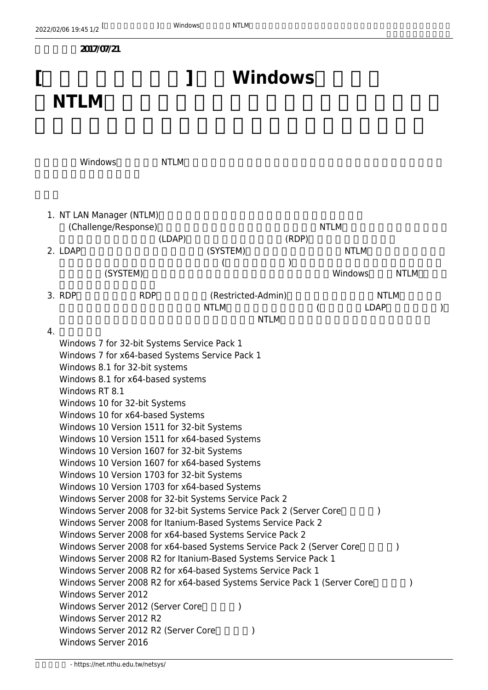|   | 2022/02/06 19:45 1/2                                                                                                                                                                                                                                                                                                                                                                                                                                                                                                                                                                                                                                                                                                                                                                                                                                                                                                                                                                                                                                                                                                                                                                                                                                                 |                | Windows<br>1 | <b>NTLM</b>                       |       |             |                   |
|---|----------------------------------------------------------------------------------------------------------------------------------------------------------------------------------------------------------------------------------------------------------------------------------------------------------------------------------------------------------------------------------------------------------------------------------------------------------------------------------------------------------------------------------------------------------------------------------------------------------------------------------------------------------------------------------------------------------------------------------------------------------------------------------------------------------------------------------------------------------------------------------------------------------------------------------------------------------------------------------------------------------------------------------------------------------------------------------------------------------------------------------------------------------------------------------------------------------------------------------------------------------------------|----------------|--------------|-----------------------------------|-------|-------------|-------------------|
|   | 2017/07/21                                                                                                                                                                                                                                                                                                                                                                                                                                                                                                                                                                                                                                                                                                                                                                                                                                                                                                                                                                                                                                                                                                                                                                                                                                                           |                |              |                                   |       |             |                   |
| l |                                                                                                                                                                                                                                                                                                                                                                                                                                                                                                                                                                                                                                                                                                                                                                                                                                                                                                                                                                                                                                                                                                                                                                                                                                                                      | <b>Windows</b> |              |                                   |       |             |                   |
|   | <b>NTLM</b>                                                                                                                                                                                                                                                                                                                                                                                                                                                                                                                                                                                                                                                                                                                                                                                                                                                                                                                                                                                                                                                                                                                                                                                                                                                          |                |              |                                   |       |             |                   |
|   | Windows                                                                                                                                                                                                                                                                                                                                                                                                                                                                                                                                                                                                                                                                                                                                                                                                                                                                                                                                                                                                                                                                                                                                                                                                                                                              |                | <b>NTLM</b>  |                                   |       |             |                   |
|   | 1. NT LAN Manager (NTLM)<br>(Challenge/Response)                                                                                                                                                                                                                                                                                                                                                                                                                                                                                                                                                                                                                                                                                                                                                                                                                                                                                                                                                                                                                                                                                                                                                                                                                     |                |              |                                   |       | <b>NTLM</b> |                   |
|   | 2. LDAP                                                                                                                                                                                                                                                                                                                                                                                                                                                                                                                                                                                                                                                                                                                                                                                                                                                                                                                                                                                                                                                                                                                                                                                                                                                              |                | (LDAP)       | (SYSTEM)                          | (RDP) | <b>NTLM</b> |                   |
|   |                                                                                                                                                                                                                                                                                                                                                                                                                                                                                                                                                                                                                                                                                                                                                                                                                                                                                                                                                                                                                                                                                                                                                                                                                                                                      | (SYSTEM)       |              |                                   |       | Windows     | NTLM <sub>1</sub> |
|   |                                                                                                                                                                                                                                                                                                                                                                                                                                                                                                                                                                                                                                                                                                                                                                                                                                                                                                                                                                                                                                                                                                                                                                                                                                                                      |                |              |                                   |       |             |                   |
|   | 3. RDP                                                                                                                                                                                                                                                                                                                                                                                                                                                                                                                                                                                                                                                                                                                                                                                                                                                                                                                                                                                                                                                                                                                                                                                                                                                               | <b>RDP</b>     |              | (Restricted-Admin)<br><b>NTLM</b> |       | <b>LDAP</b> | <b>NTLM</b>       |
|   | <b>NTLM</b>                                                                                                                                                                                                                                                                                                                                                                                                                                                                                                                                                                                                                                                                                                                                                                                                                                                                                                                                                                                                                                                                                                                                                                                                                                                          |                |              |                                   |       |             |                   |
|   | Windows 7 for 32-bit Systems Service Pack 1<br>Windows 7 for x64-based Systems Service Pack 1<br>Windows 8.1 for 32-bit systems<br>Windows 8.1 for x64-based systems<br>Windows RT 8.1<br>Windows 10 for 32-bit Systems<br>Windows 10 for x64-based Systems<br>Windows 10 Version 1511 for 32-bit Systems<br>Windows 10 Version 1511 for x64-based Systems<br>Windows 10 Version 1607 for 32-bit Systems<br>Windows 10 Version 1607 for x64-based Systems<br>Windows 10 Version 1703 for 32-bit Systems<br>Windows 10 Version 1703 for x64-based Systems<br>Windows Server 2008 for 32-bit Systems Service Pack 2<br>Windows Server 2008 for 32-bit Systems Service Pack 2 (Server Core<br>Windows Server 2008 for Itanium-Based Systems Service Pack 2<br>Windows Server 2008 for x64-based Systems Service Pack 2<br>Windows Server 2008 for x64-based Systems Service Pack 2 (Server Core<br>Windows Server 2008 R2 for Itanium-Based Systems Service Pack 1<br>Windows Server 2008 R2 for x64-based Systems Service Pack 1<br>Windows Server 2008 R2 for x64-based Systems Service Pack 1 (Server Core<br><b>Windows Server 2012</b><br>Windows Server 2012 (Server Core<br>Windows Server 2012 R2<br>Windows Server 2012 R2 (Server Core<br>Windows Server 2016 |                |              |                                   |       |             |                   |